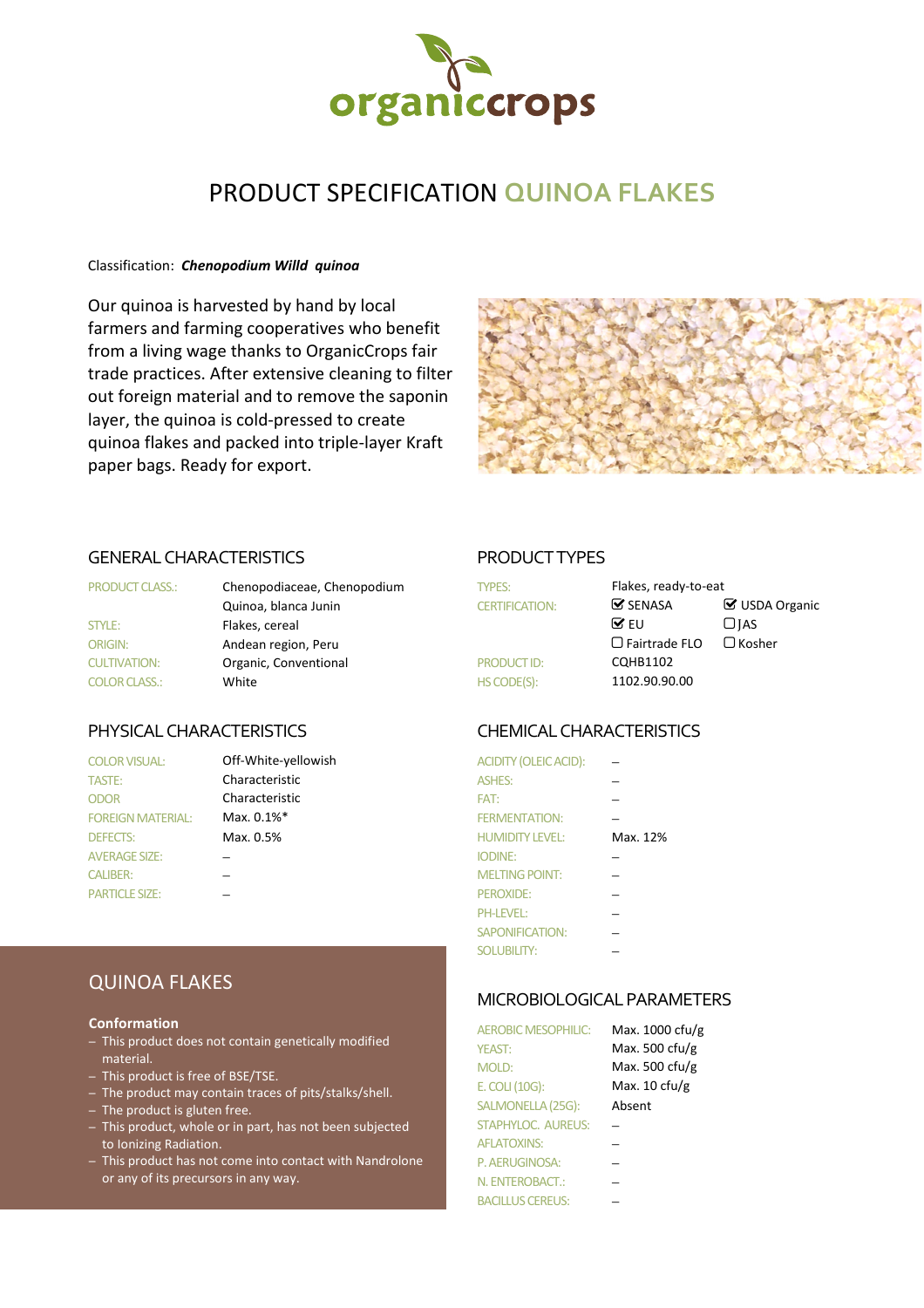

# PRODUCT SPECIFICATION **QUINOA FLAKES**

### Classification: *Chenopodium Willd quinoa*

Our quinoa is harvested by hand by local farmers and farming cooperatives who benefit from a living wage thanks to OrganicCrops fair trade practices. After extensive cleaning to filter out foreign material and to remove the saponin layer, the quinoa is cold-pressed to create quinoa flakes and packed into triple-layer Kraft paper bags. Ready for export.



### GENERAL CHARACTERISTICS PRODUCT TYPES

| <b>PRODUCT CLASS.:</b> | Chenopodiaceae, Chenopodium | <b>TYPES:</b>         | Fla |
|------------------------|-----------------------------|-----------------------|-----|
|                        | Quinoa, blanca Junin        | <b>CERTIFICATION:</b> | ☞   |
| STYLE:                 | Flakes, cereal              |                       | ☞   |
| <b>ORIGIN:</b>         | Andean region, Peru         |                       | ∩   |
| <b>CULTIVATION:</b>    | Organic, Conventional       | <b>PRODUCTID:</b>     | CC  |
| <b>COLOR CLASS.:</b>   | White                       | HS CODE(S):           | 11  |

| <b>COLOR VISUAL:</b>     | Off-White-yellowish | ACIDITY (OLEIC ACID):  |   |
|--------------------------|---------------------|------------------------|---|
| <b>TASTE:</b>            | Characteristic      | <b>ASHES:</b>          |   |
| <b>ODOR</b>              | Characteristic      | FAT:                   |   |
| <b>FOREIGN MATERIAL:</b> | Max. 0.1%*          | <b>FERMENTATION:</b>   |   |
| <b>DEFECTS:</b>          | Max. 0.5%           | <b>HUMIDITY LEVEL:</b> | N |
| <b>AVERAGE SIZE:</b>     |                     | <b>IODINE:</b>         |   |
| <b>CALIBER:</b>          |                     | <b>MELTING POINT:</b>  |   |
| <b>PARTICLE SIZE:</b>    |                     | $PFROXIDF+$            | – |

| <b>PRODUCT CLASS.:</b> | Chenopodiaceae, Chenopodium<br><b>TYPES:</b> |                       | Flakes, ready-to-eat          |                |
|------------------------|----------------------------------------------|-----------------------|-------------------------------|----------------|
|                        | Quinoa, blanca Junin                         | <b>CERTIFICATION:</b> | $\mathbf{\mathcal{G}}$ SENASA | ■ USDA Organic |
| <b>STYLE:</b>          | Flakes, cereal                               |                       | $\mathbf{\nabla}$ EU          | $\Box$ IAS     |
| <b>ORIGIN:</b>         | Andean region, Peru                          |                       | $\Box$ Fairtrade FLO          | $\Box$ Kosher  |
| <b>CULTIVATION:</b>    | Organic, Conventional                        | <b>PRODUCT ID:</b>    | <b>CQHB1102</b>               |                |
| <b>COLOR CLASS.:</b>   | White                                        | HS CODE(S):           | 1102.90.90.00                 |                |
|                        |                                              |                       |                               |                |

### PHYSICAL CHARACTERISTICS CHEMICAL CHARACTERISTICS

| <b>COLOR VISUAL:</b>     | Off-White-yellowish | <b>ACIDITY (OLEIC ACID):</b> |          |
|--------------------------|---------------------|------------------------------|----------|
| TASTE:                   | Characteristic      | <b>ASHES:</b>                |          |
| <b>ODOR</b>              | Characteristic      | FAT:                         |          |
| <b>FOREIGN MATERIAL:</b> | Max. 0.1%*          | <b>FERMENTATION:</b>         |          |
| <b>DEFECTS:</b>          | Max. 0.5%           | <b>HUMIDITY LEVEL:</b>       | Max. 12% |
| <b>AVERAGE SIZE:</b>     |                     | <b>IODINE:</b>               |          |
| <b>CALIBER:</b>          |                     | <b>MELTING POINT:</b>        |          |
| <b>PARTICLE SIZE:</b>    |                     | PEROXIDE:                    |          |
|                          |                     | <b>PH-LEVEL:</b>             |          |
|                          |                     | <b>SAPONIFICATION:</b>       |          |
|                          |                     | <b>SOLUBILITY:</b>           |          |

### MICROBIOLOGICAL PARAMETERS

| <b>AEROBIC MESOPHILIC:</b> | Max. 1000 cfu/g          |
|----------------------------|--------------------------|
| <b>YEAST:</b>              | Max. 500 cfu/g           |
| <b>MOLD:</b>               | Max. 500 cfu/g           |
| E. COLI (10G):             | Max. $10 \text{ c}$ fu/g |
| SALMONELLA (25G):          | Absent                   |
| <b>STAPHYLOC. AUREUS:</b>  |                          |
| <b>AFLATOXINS:</b>         |                          |
| P. AERUGINOSA:             |                          |
| N. ENTEROBACT.:            |                          |
| <b>BACILLUS CEREUS:</b>    |                          |

## QUINOA FLAKES

### **Conformation**

- This product does not contain genetically modified material.
- This product is free of BSE/TSE.
- The product may contain traces of pits/stalks/shell.
- The product is gluten free.
- This product, whole or in part, has not been subjected to Ionizing Radiation.
- This product has not come into contact with Nandrolone or any of its precursors in any way.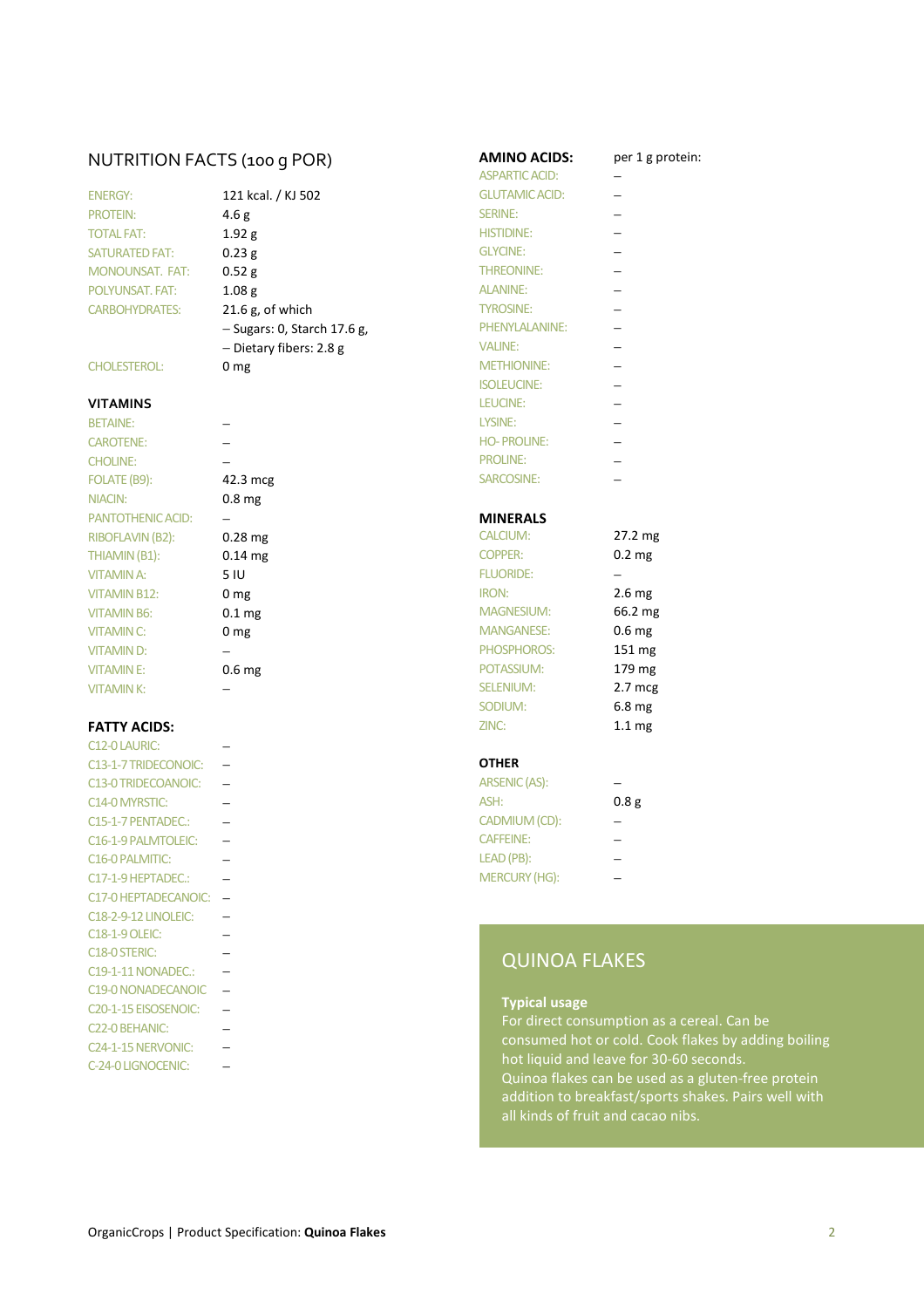# NUTRITION FACTS (100 g POR) **AMINO ACIDS:** per 1 g protein:<br>ASPARTIC ACID:  $\frac{1}{2}$

| <b>ENERGY:</b>         |
|------------------------|
| <b>PROTEIN:</b>        |
| <b>TOTAL FAT:</b>      |
| <b>SATURATED FAT:</b>  |
| <b>MONOUNSAT, FAT:</b> |
| <b>POLYUNSAT, FAT:</b> |
| <b>CARBOHYDRATES:</b>  |

FOLATE (B9): 42.3 mcg SARCOSINE: − NIACIN: 0.8 mg PANTOTHENIC ACID: − **− MINERALS** RIBOFLAVIN (B2): 0.28 mg THIAMIN (B1):  $0.14 \text{ mg}$  COPPERS: 0.2 mg VITAMIN B12: 0 mg VITAMIN B6:  $0.1 \text{ mg}$  M VITAMIN C:  $0 \text{ mg}$  M VITAMIN D: − → PHOSPHOROS VITAMIN E: 0.6 mg

| C12-0 LAURIC:                     |  |                 |
|-----------------------------------|--|-----------------|
| C13-1-7 TRIDECONOIC:              |  | <b>OTHER</b>    |
| C13-0 TRIDECOANOIC:               |  | <b>ARSENIC</b>  |
| C <sub>14</sub> -0 MYRSTIC:       |  | ASH:            |
| C15-1-7 PENTADEC.:                |  | <b>CADMIU</b>   |
| C16-1-9 PALMTOLEIC:               |  | <b>CAFFEIN</b>  |
| C <sub>16</sub> -0 PALMITIC:      |  | <b>LEAD</b> (PE |
| C17-1-9 HEPTADEC.:                |  | <b>MERCUF</b>   |
| C17-0 HEPTADECANOIC:              |  |                 |
| <b>C18-2-9-12 LINOLEIC:</b>       |  |                 |
| <b>C18-1-9 OLEIC:</b>             |  |                 |
| C <sub>18</sub> -0 STERIC:        |  | Q١              |
| C19-1-11 NONADEC.:                |  |                 |
| C19-0 NONADECANOIC                |  |                 |
| C <sub>20</sub> -1-15 EISOSENOIC: |  | <b>Typ</b>      |
| C22-0 BEHANIC:                    |  | For             |
| C <sub>24</sub> -1-15 NERVONIC:   |  | cor             |
| C-24-0 LIGNOCENIC:                |  | hot             |

|                        |                               | <b>ASPARTIC ACID:</b> |                          |
|------------------------|-------------------------------|-----------------------|--------------------------|
| <b>ENERGY:</b>         | 121 kcal. / KJ 502            | <b>GLUTAMIC ACID:</b> |                          |
| <b>PROTEIN:</b>        | 4.6 <sub>g</sub>              | <b>SERINE:</b>        |                          |
| <b>TOTAL FAT:</b>      | 1.92 g                        | <b>HISTIDINE:</b>     | $\overline{\phantom{0}}$ |
| <b>SATURATED FAT:</b>  | 0.23g                         | <b>GLYCINE:</b>       |                          |
| <b>MONOUNSAT, FAT:</b> | 0.52 g                        | <b>THREONINE:</b>     |                          |
| <b>POLYUNSAT, FAT:</b> | 1.08 <sub>g</sub>             | <b>ALANINE:</b>       |                          |
| <b>CARBOHYDRATES:</b>  | $21.6$ g, of which            | <b>TYROSINE:</b>      |                          |
|                        | $-$ Sugars: 0, Starch 17.6 g, | PHENYLALANINE:        |                          |
|                        | $-$ Dietary fibers: 2.8 g     | <b>VALINE:</b>        |                          |
| <b>CHOLESTEROL:</b>    | 0 <sub>mg</sub>               | <b>METHIONINE:</b>    |                          |

# POLYUNSAT. FAT: 1.08 g ALANINE: − TYROSINE: − ISOLEUCINE: − **VITAMINS** LEUCINE: − BETAINE: − LYSINE: − CAROTENE: − HO- PROLINE: − CHOLINE: − − − PROLINE: −

ASPARTIC ACID:

| RIBOFLAVIN (B2):    | $0.28$ mg           | <b>CALCIUM:</b>   | $27.2 \text{ mg}$ |
|---------------------|---------------------|-------------------|-------------------|
| THIAMIN (B1):       | $0.14$ mg           | <b>COPPER:</b>    | $0.2 \text{ mg}$  |
| VITAMIN A:          | 5 IU                | <b>FLUORIDE:</b>  |                   |
| <b>VITAMIN B12:</b> | 0 <sub>mg</sub>     | IRON:             | 2.6 <sub>mg</sub> |
| VITAMIN B6:         | $0.1 \,\mathrm{mg}$ | <b>MAGNESIUM:</b> | 66.2 mg           |
| VITAMIN C:          | 0 <sub>mg</sub>     | <b>MANGANESE:</b> | 0.6 <sub>mg</sub> |
| VITAMIND:           |                     | PHOSPHOROS:       | $151 \text{ mg}$  |
| <b>VITAMINE:</b>    | 0.6 <sub>mg</sub>   | POTASSIUM:        | 179 mg            |
| <b>VITAMINK:</b>    |                     | <b>SELENIUM:</b>  | $2.7 \text{ mcg}$ |
|                     |                     | SODIUM:           | $6.8 \text{ mg}$  |
| <b>FATTY ACIDS:</b> |                     | ZINC:             | 1.1 <sub>mg</sub> |

| <b>C13-0 TRIDECOANOIC:</b> | ARSENIC (AS):        |      |
|----------------------------|----------------------|------|
| C14-0 MYRSTIC:             | ASH:                 | 0.8g |
| C15-1-7 PENTADEC.:         | CADMIUM (CD):        |      |
| C16-1-9 PALMTOLEIC:        | <b>CAFFEINE:</b>     |      |
| C16-0 PALMITIC:            | LEAD (PB):           |      |
| C17-1-9 HEPTADEC.:         | <b>MERCURY (HG):</b> |      |

## QUINOA FLAKES

### **Typical usage**

For direct consumption as a cereal. Can be consumed hot or cold. Cook flakes by adding boiling hot liquid and leave for 30-60 seconds. Quinoa flakes can be used as a gluten-free protein addition to breakfast/sports shakes. Pairs well with all kinds of fruit and cacao nibs.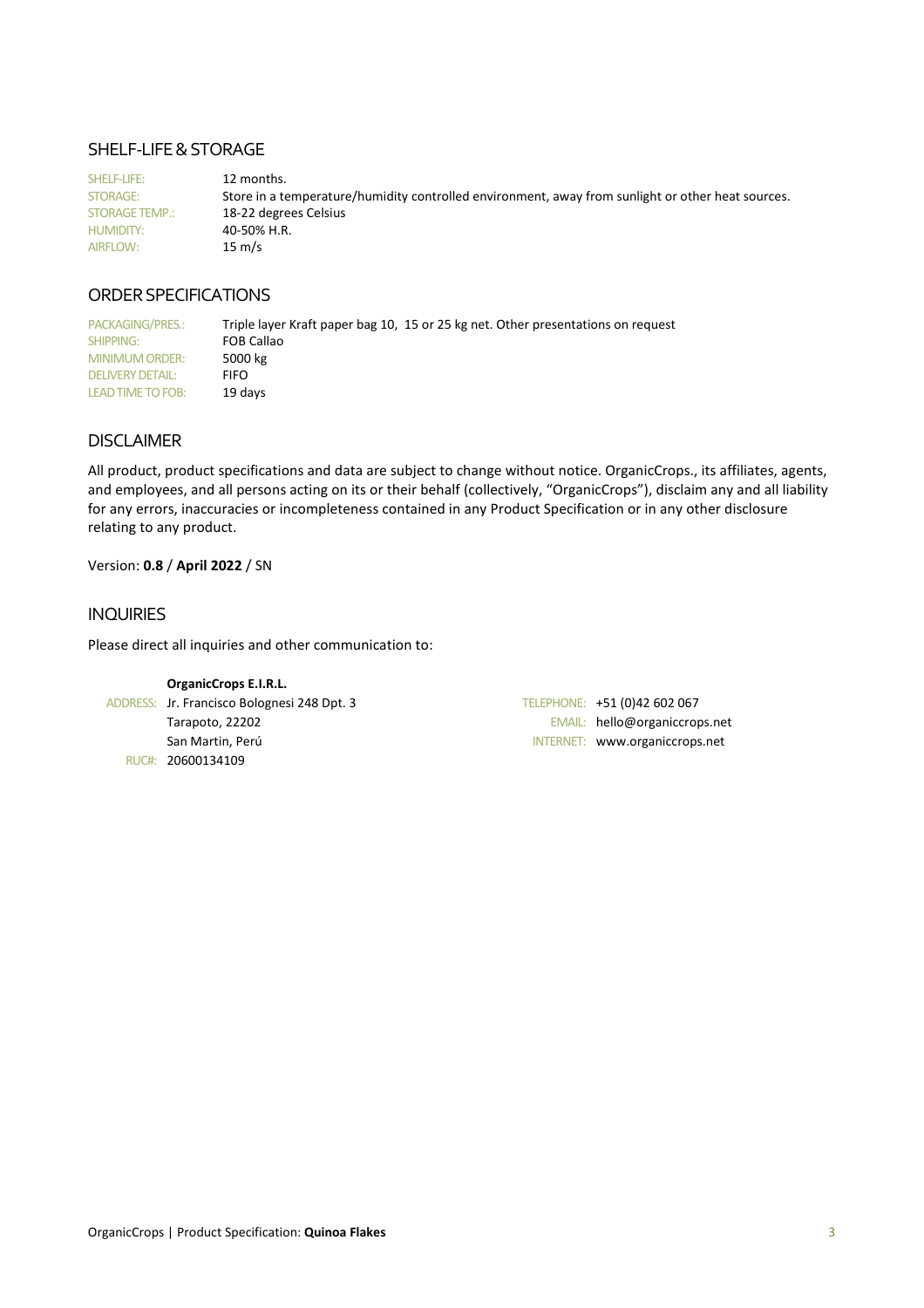### SHELF-LIFE & STORAGE

SHELF-LIFE: 12 months. STORAGE: Store in a temperature/humidity controlled environment, away from sunlight or other heat sources. STORAGE TEMP.: 18-22 degrees Celsius HUMIDITY: 40-50% H.R. AIRFLOW: 15 m/s

### ORDER SPECIFICATIONS

PACKAGING/PRES.: Triple layer Kraft paper bag 10, 15 or 25 kg net. Other presentations on request SHIPPING: FOB Callao<br>MINIMUM ORDER: 5000 kg MINIMUM ORDER: DELIVERY DETAIL: FIFO LEAD TIME TO FOB: 19 days

### DISCLAIMER

All product, product specifications and data are subject to change without notice. OrganicCrops., its affiliates, agents, and employees, and all persons acting on its or their behalf (collectively, "OrganicCrops"), disclaim any and all liability for any errors, inaccuracies or incompleteness contained in any Product Specification or in any other disclosure relating to any product.

### Version: **0.8** / **April 2022** / SN

### INQUIRIES

Please direct all inquiries and other communication to:

| <b>OrganicCrops E.I.R.L.</b>                |                                |
|---------------------------------------------|--------------------------------|
| ADDRESS: Jr. Francisco Bolognesi 248 Dpt. 3 | TELEPHONE: +51 (0)42 602 067   |
| Tarapoto, 22202                             | EMAIL: hello@organiccrops.net  |
| San Martin, Perú                            | INTERNET: www.organiccrops.net |
| RUC#: 20600134109                           |                                |